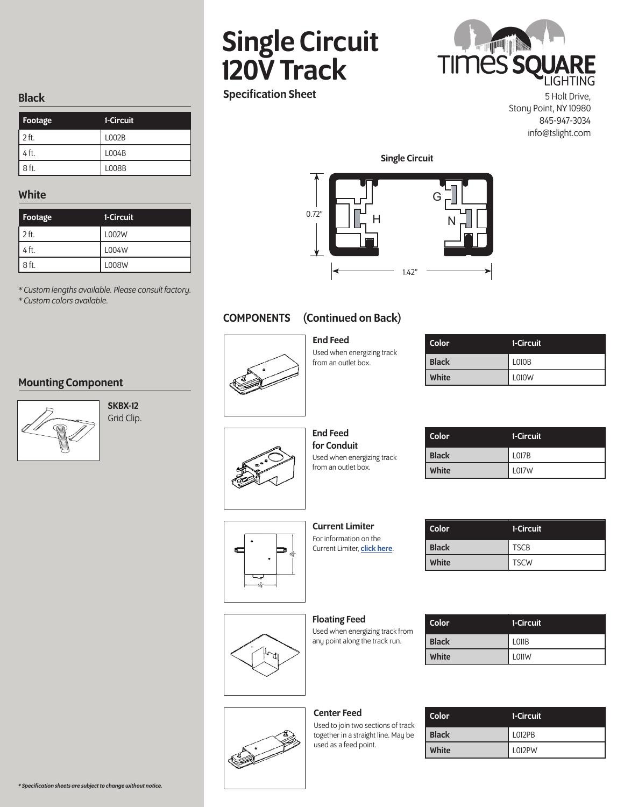## Single Circuit 120V Track Specification Sheet

# **TIMES SO**

5 Holt Drive,

Stony Point, NY 10980 845-947-3034 info@tslight.com

#### Black

| Footage  | 1-Circuit |
|----------|-----------|
| $12$ ft. | L002B     |
| $14$ ft. | L004B     |
| $8$ ft.  | L008B     |

#### White

| Footage | 1-Circuit |
|---------|-----------|
| $2$ ft. | L002W     |
| 4 ft.   | L004W     |
| 8 ft.   | L008W     |

*\* Custom lengths available. Please consult factory. \* Custom colors available.*

#### Mounting Component



SKBX-12 Grid Clip. 0.72" Single Circuit H N G

1.42"

## COMPONENTS (Continued on Back)

End Feed Used when energizing track from an outlet box.

| Color        | 1-Circuit |
|--------------|-----------|
| <b>Black</b> | L010B     |
| White        | L010W     |



End Feed for Conduit Used when energizing track from an outlet box.

| Color        | 1-Circuit    |
|--------------|--------------|
| <b>Black</b> | <b>L017B</b> |
| <b>White</b> | <b>L017W</b> |
|              |              |



Current Limiter For information on the Current Limiter, **click here**.

| <b>Color</b> | 1-Circuit   |
|--------------|-------------|
| <b>Black</b> | <b>TSCB</b> |
| White        | <b>TSCW</b> |

Floating Feed Used when energizing track from any point along the track run.

## Color 1-Circuit Black L011B White **L011W**

#### Center Feed

Used to join two sections of track together in a straight line. May be used as a feed point.

| Color        | 1-Circuit     |
|--------------|---------------|
| <b>Black</b> | L012PB        |
| White        | <b>L012PW</b> |